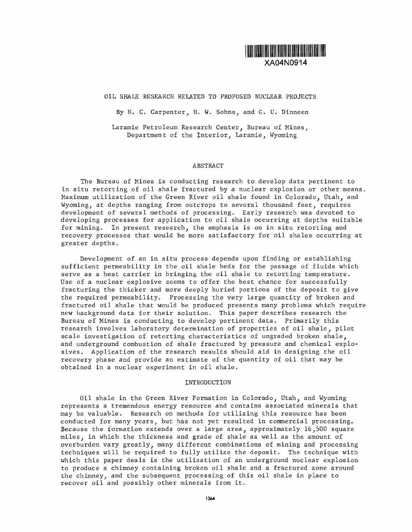

XA04N0914

# OIL SHALE RESEARCH RELATED TO PROPOSED NUCLEAR PROJECTS

By H. C. Carpenter, H. W. Sohns, and G. U. Dinneen

Laramie Petroleum Research Center, Bureau of Mines, Department of the Interior, Laramie, Wyoming

## ABSTRACT

The Bureau of Mines is conducting research to develop data pertinent to in situ retorting of oil shale fractured by a nuclear explosion or other means. Maximum utilization of the Green River oil shale found in Colorado, Utah, and Wyoming, at depths ranging from outcrops to several thousand feet, requires development of several methods of processing. Early research was devoted to developing processes for application to oil shale occurring at depths suitable for mining. In present research, the emphasis is on in situ retorting and recovery processes that would be more satisfactory for oil shales occurring at greater depths.

Development of an in situ process depends upon finding or establishing sufficient permeability in the oil shale beds for the passage of fluids which serve as a heat carrier in bringing the oil shale to retorting temperature. Use of a nuclear explosive seems to offer the best chance for successfully fracturing the thicker and more deeply buried portions of the deposit to give the required permeability. Processing the very large quantity of broken and fractured oil shale that would be produced presents many problems which require new background data for their solution. This paper describes research the Bureau of Mines is conducting to develop pertinent data. Primarily this research involves laboratory determination of properties of oil shale, pilot scale investigation of retorting characteristics of ungraded broken shale, and underground combustion of shale fractured by pressure and chemical explosives. Application of the research results should aid in designing the oil recovery phase and provide an estimate of the quantity of oil that may be obtained in a nuclear experiment in oil shale.

### INTRODUCTION

Oil shale in the Green River Formation in Colorado, Utah, and Wyoming represents a tremendous energy resource and contains associated minerals that may be valuable. Research on methods for utilizing this resource has been conducted for many years, but has not yet resulted in commercial processing. Because the formation extends over a large area, approximately 16,500 square miles, in which the thickness and grade of shale as well as the amount of overburden vary greatly, many different combinations of mining and processing techniques will be required to fully utilize the deposit. The technique with which this paper deals is the utilization of an underground nuclear explosion to produce a chimney containing broken oil shale and a fractured zone around the chimney, and the subsequent processing of this oil shale in place to recover oil and possibly other minerals from it.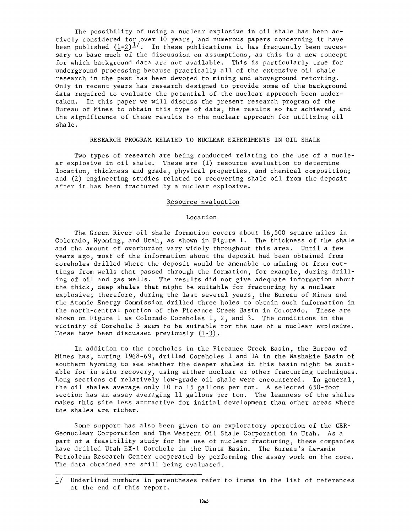The possibility of using a nuclear explosive in oil shale has been actively considered for over 10 years, and numerous papers concerning it have been published  $(1-2)^{\frac{1}{n}}$ . In these publications it has frequently been necessary to base much of the discussion on assumptions, as this is a new concept for which background data are not available. This is particularly true for underground processing because practically all of the extensive oil shale research in the past has been devoted to mining and aboveground retorting. Only in recent years has research designed to provide some of the background data required to evaluate the potential of the nuclear approach been undertaken. In this paper we will discuss the present research program of the Bureau of Mines to obtain this type of data, the results so far achieved, and the significance of these results to the nuclear approach for utilizing oil shale.

### RESEARCH PROGRAM RELATED TO NUCLEAR EXPERIMENTS IN OIL SHALE

Two types of research are being conducted relating to the use of a nuclear explosive in oil shale. These are (1) resource evaluation to determine location, thickness and grade, physical properties, and chemical composition; and (2) engineering studies related to recovering shale oil from the deposit after it has been fractured by a nuclear explosive.

### Resource Evaluation

#### Location

The Green River oil shale formation covers about 16,500 square miles in Colorado, Wyoming, and Utah, as shown in Figure 1. The thickness of the shale and the amount of overburden vary widely throughout this area. Until a few years ago, most of the information about the deposit had been obtained from coreholes drilled where the deposit would be amenable to mining or from cuttings from wells that passed through the formation, for example, during drilling of oil and gas wells. The results did not give adequate information about the thick, deep shales that might be suitable for fracturing by a nuclear explosive; therefore, during the last several years, the Bureau of Mines and the Atomic Energy Commission drilled three holes to obtain such information in the north-central portion of the Piceance Creek Basin in Colorado. These are shown on Figure 1 as Colorado Coreholes 1, 2, and 3. The conditions in the vicinity of Corehole 3 seem to be suitable for the use of a nuclear explosive. These have been discussed previously  $(1-3)$ .

In addition to the coreholes in the Piceance Creek Basin, the Bureau of Mines has, during 1968-69, drilled Coreholes 1 and 1A in the Washakie Basin of southern Wyoming to see whether the deeper shales in this basin might be suitable for in situ recovery, using either nuclear or other fracturing techniques, Long sections of relatively low-grade oil shale were encountered. In general, the oil shales average only 10 to 15 gallons per ton. A selected 650-foot section has an assay averaging 11 gallons per ton. The leanness of the shales makes this site less attractive for initial development than other areas where the shales are richer.

Some support has also been given to an exploratory operation of the CER-Geonuclear Corporation and The Western Oil Shale Corporation in Utah. As a part of a feasibility study for the use of nuclear fracturing, these companies have drilled Utah EX-1 Corehole in the Uinta Basin. The Bureau's Laramie Petroleum Research Center cooperated by performing the assay work on the core. The data obtained are still being evaluated.

<sup>1/</sup> Underlined numbers in parentheses refer to items in the list of references at the end of this report.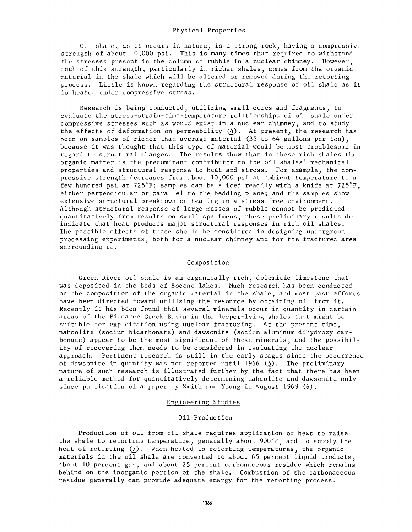### Physical Properties

Oil shale, as it occurs in nature, is a strong rock, having a compressive strength of about 10,000 psi. This is many times that required to withstand the stresses present in the column of rubble in a nuclear chimney. However, much of this strength, particularly in richer shales, comes from the organic material in the shale which will be altered or removed during the retorting process. Little is known regarding the structural response of oil shale as it is heated under compressive stress.

Research is being conducted, utilizing small cores and fragments, to evaluate the stress-strain-time-temperature relationships of oil shale under compressive stresses such as would exist in a nuclear chimney, and to study the effects of deformation on permeability (4). At present, the research has been on samples of richer-than-average material (35 to 64 gallons per ton), because it was thought that this type of material would be most troublesome in regard to structural changes. The results show that in these rich shales the organic matter is the predominant contributor to the oil shales' mechanical properties and structural response to heat and stress. For example, the compressive strength decreases from about 10,000 psi at ambient temperature to a few hundred psi at 725°F; samples can be sliced readily with a knife at 725°F, either perpendicular or parallel to the bedding plane; and the samples show extensive structural breakdown on heating in a stress-free environment. Although structural response of large masses of rubble cannot be predicted quantitatively from results on small specimens, these preliminary results do indicate that heat produces major structural responses in rich oil shales. The possible effects of these should be considered in designing underground processing experiments, both for a nuclear chimney and for the fractured area surrounding it.

### Composition

Green River oil shale is an organically rich, dolomitic limestone that was deposited in the beds of Eocene lakes. Much research has been conducted on the composition of the organic material in the shale, and most past efforts have been directed toward utilizing the resource by obtaining oil from it. Recently it has been found that several minerals occur in quantity in certain areas of the Piceance Creek Basin in the deeper-lying shales that might be suitable for exploitation using nuclear fracturing. At the present time, nahcolite (sodium bicarbonate) and dawsonite (sodium aluminum dihydroxy carbonate) appear to be the most significant of these minerals, and the possibility of recovering them needs to be considered in evaluating the nuclear approach. Pertinent research is still in the early stages since the occurrence of dawsonite in quantity was not reported until 1966 (5). The preliminary nature of such research is illustrated further by the fact that there has been a reliable method for quantitatively determining nahcolite and dawsonite only since publication of a paper by Smith and Young in August 1969 (6).

### Engineering Studies

# Oil Production

Production of oil from oil shale requires application of heat to raise the shale to retorting temperature, generally about 900°F, and to supply the heat of retorting (7). When heated to retorting temperatures, the organic materials in the oil shale are converted to about 65 percent liquid products, about 10 percent gas, and about 25 percent carbonaceous residue which remains behind on the inorganic portion of the shale. Combustion of the carbonaceous residue generally can provide adequate energy for the retorting process.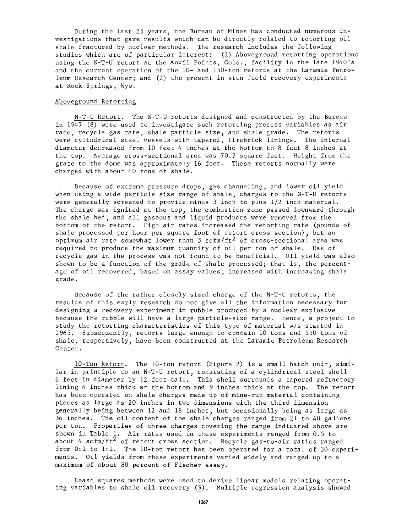During the last 25 years, the Bureau of Mines has conducted numerous investigations that gave results which can be directly related to retorting oil shale fractured by nuclear methods. The research includes the following studies which are of particular interest: (1) Aboveground retorting operations using the N-T-U retort at the Anvil Points, Colo., facility in the late 1940's and the current operation of the 10- and 150-ton retorts at the Laramie Petroleum Research Center; and (2) the present in situ field recovery experiments at Rock Springs, Wyo.

# Aboveground Retorting

N-T-U Retort. The N-T-U retorts designed and constructed by the Bureau in 1947 (8) were used to investigate such retorting process variables as air rate, recycle gas rate, shale particle size, and shale grade. The retorts were cylindrical steel vessels with tapered, firebrick linings. The internal diameter decreased from 10 feet 4 inches at the bottom to 8 feet 8 inches at the top. Average cross-sectional area was 70.7 square feet. Height from the grate to the dome was approximately 16 feet. These retorts normally were charged with about 40 tons of shale.

Because of extreme pressure drops, gas channeling, and lower oil yield when using a wide particle size range of shale, charges to the N-T-U retorts were generally screened to provide minus 3 inch to plus 1/2 inch material. The charge was ignited at the top, the combustion zone passed downward through the shale bed, and all gaseous and liquid products were removed from the bottom of the retort. High air rates increased the retorting rate (pounds of shale processed per hour per square foot of retort cross section), but an optimum air rate somewhat lower than 5 scfm/ft<sup>2</sup> of cross-sectional area was required to produce the maximum quantity of oil per ton of shale. Use of recycle gas in the process was not found to be beneficial. Oil yield was also shown to be a function of the grade of shale processed; that is, the percentage of oil recovered, based on assay values, increased with increasing shale grade.

Because of the rather closely sized charge of the N-T-U retorts, the results of this early research do not give all the information necessary for designing a recovery experiment in rubble produced by a nuclear explosive because the rubble will have a large particle-size range. Hence, a project to study the retorting characteristics of this type of material was started in 1965. Subsequently, retorts large enough to contain 10 tons and 150 tons of shale, respectively, have been constructed at the Laramie Petroleum Research Center.

10-Ton Retort. The 10-ton retort (Figure 2) is a small batch unit, similar in principle to an N-T-U retort, consisting of a cylindrical steel shell 6 feet in diameter by 12 feet tall. This shell surrounds a tapered refractory lining 6 inches thick at the bottom and 9 inches thick at the top. The retort has been operated on shale charges made up of mine-run material containing pieces as large as 20 inches in two dimensions with the third dimension generally being between 12 and 18 inches, but occasionally being as large as 36 inches. The oil content of the shale charges ranged from 21 to 48 gallons per ton. Properties of three charges covering the range indicated above are shown in Table 1. Air rates used in these experiments ranged from 0.5 to about 4  $\text{scfm}/\text{ft}^2$  of retort cross section. Recycle gas-to-air ratios ranged from 0:1 to 1:1. The 10-ton retort has been operated for a total of 30 experiments. Oil yields from these experiments varied widely and ranged up to a maximum of about 80 percent of Fischer assay.

Least squares methods were used to derive linear models relating operating variables to shale oil recovery  $(9)$ . Multiple regression analysis showed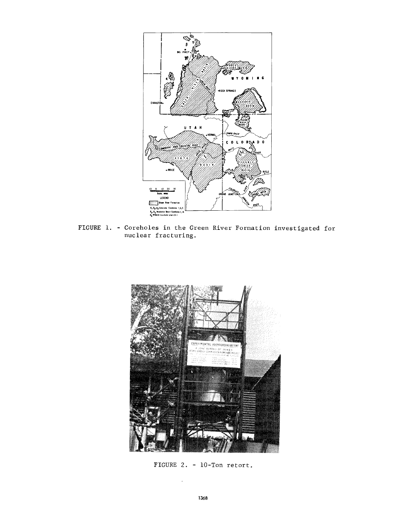

FIGURE 1. - Coreholes in the Green River Formation investigated for nuclear fracturing.



FIGURE 2. - 10-Ton retort.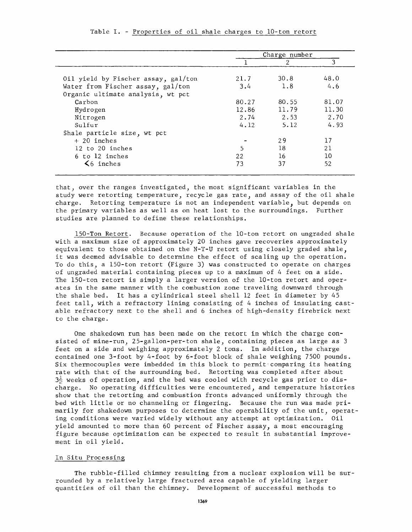|                                     | Charge number |       |       |
|-------------------------------------|---------------|-------|-------|
|                                     |               | 2     |       |
| Oil yield by Fischer assay, gal/ton | 21.7          | 30.8  | 48.0  |
| Water from Fischer assay, gal/ton   | 3.4           | 1.8   | 4.6   |
| Organic ultimate analysis, wt pct   |               |       |       |
| Carbon                              | 80.27         | 80.55 | 81.07 |
| Hydrogen                            | 12.86         | 11.79 | 11.30 |
| Nitrogen                            | 2.74          | 2.53  | 2.70  |
| Sulfur                              | 4.12          | 5.12  | 4.93  |
| Shale particle size, wt pct         |               |       |       |
| $+20$ inches                        |               | 29    | 17    |
| 12 to 20 inches                     | 5             | 18    | 21    |
| 6 to 12 inches                      | 22            | 16    | 10    |
| $\leq 6$ inches                     | 73            | 37    | 52    |

### Table I. - Properties of oil shale charges to 10-ton retort

that, over the ranges investigated, the most significant variables in the study were retorting temperature, recycle gas rate, and assay of the oil shale charge. Retorting temperature is not an independent variable, but depends on the primary variables as well as on heat lost to the surroundings. Further studies are planned to define these relationships.

150-Ton Retort. Because operation of the 10-ton retort on ungraded shale with a maximum size of approximately 20 inches gave recoveries approximately equivalent to those obtained on the N-T-U retort using closely graded shale, it was deemed advisable to determine the effect of scaling up the operation. To do this, a 150-ton retort (Figure 3) was constructed to operate on charges of ungraded material containing pieces up to a maximum of 4 feet on a side. The 150-ton retort is simply a larger version of the 10-ton retort and operates in the same manner with the combustion zone traveling downward through the shale bed. It has a cylindrical steel shell 12 feet in diameter by 45 feet tall, with a refractory lining consisting of 4 inches of insulating castable refractory next to the shell and 6 inches of high-density firebrick next to the charge.

One shakedown run has been made on the retort in which the charge consisted of mine-run, 25-gallon-per-ton shale, containing pieces as large as 3 feet on a side and weighing approximately 2 tons. In addition, the charge contained one 3-foot by 4-foot by 6-foot block of shale weighing 7500 pounds. Six thermocouples were imbedded in this block to permit comparing its heating rate with that of the surrounding bed. Retorting was completed after about  $3\frac{1}{2}$  weeks of operation, and the bed was cooled with recycle gas prior to discharge. No operating difficulties were encountered, and temperature histories show that the retorting and combustion fronts advanced uniformly through the bed with little or no channeling or fingering. Because the run was made primarily for shakedown purposes to determine the operability of the unit, operating conditions were varied widely without any attempt at optimization. Oil yield amounted to more than 60 percent of Fischer assay, a most encouraging figure because optimization can be expected to result in substantial improvement in oil yield.

### In Situ Processing

The rubble-filled chimney resulting from a nuclear explosion will be surrounded by a relatively large fractured area capable of yielding larger quantities of oil than the chimney. Development of successful methods to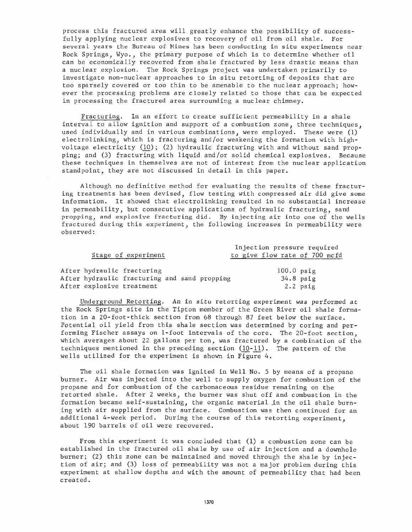process this fractured area will greatly enhance the possibility of successfully applying nuclear explosives to recovery of oil from oil shale. For several years the Bureau of Mines has been conducting in situ experiments near Rock Springs, Wyo., the primary purpose of which is to determine whether oil can be economically recovered from shale fractured by less drastic means than a nuclear explosion. The Rock Springs project was undertaken primarily to investigate non-nuclear approaches to in situ retorting of deposits that are too sparsely covered or too thin to be amenable to the nuclear approach; however the processing problems are closely related to those that can be expected in processing the fractured area surrounding a nuclear chimney.

Fracturing. In an effort to create sufficient permeability in a shale interval to allow ignition and support of a combustion zone, three techniques, used individually and in various combinations, were employed. These were  $(1)$ electrolinking, which is fracturing and/or weakening the formation with highvoltage electricity  $(10)$ ;  $(2)$  hydraulic fracturing with and without sand propping; and (3) fracturing with liquid and/or solid chemical explosives. Because these techniques in themselves are not of interest from the nuclear application standpoint, they are not discussed in detail in this paper.

Although no definitive method for evaluating the results of these fracturing treatments has been devised, flow testing with compressed air did give some information. It showed that electrolinking resulted in no substantial increase in permeability, but consecutive applications of hydraulic fracturing, sand propping, and explosive fracturing did. By injecting air into one of the wells fractured during this experiment, the following increases in permeability were observed:

|                                              | Injection pressure required   |
|----------------------------------------------|-------------------------------|
| Stage of experiment                          | to give flow rate of 700 mcfd |
|                                              |                               |
| After hydraulic fracturing                   | $100.0$ psig                  |
| After hydraulic fracturing and sand propping | $34.8$ psig                   |
| After explosive treatment                    | $2.2$ psig                    |

Underground Retorting. An in situ retorting experiment was performed at the Rock Springs site in the Tipton member of the Green River oil shale formation in a 20-foot-thick section from 68 through 87 feet below the surface. Potential oil yield from this shale section was determined by coring and performing Fischer assays on 1-foot intervals of the core. The 20-foot section, which averages about 22 gallons per ton, was fractured by a combination of the techniques mentioned in the preceding section  $(10-11)$ . The pattern of the wells utilized for the experiment is shown in Figure 4.

The oil shale formation was ignited in Well No. 5 by means of a propane burner. Air was injected into the well to supply oxygen for combustion of the propane and for combustion of the carbonaceous residue remaining on the retorted shale. After 2 weeks, the burner was shut off and combustion in the formation became self-sustaining, the organic material ,in the oil shale burning with air supplied from the surface. Combustion was then continued for an additional 4-week period. During the course of this retorting experiment, about 190 barrels of oil were recovered.

From this experiment it was concluded that (1) a combustion zone can be established in the fractured oil shale by use of air injection and a downhole burner; (2) this zone can be maintained and moved through the shale by injection of air; and (3) loss of permeability was not a major problem during this experiment at shallow depths and with the amount of permeability that had been created.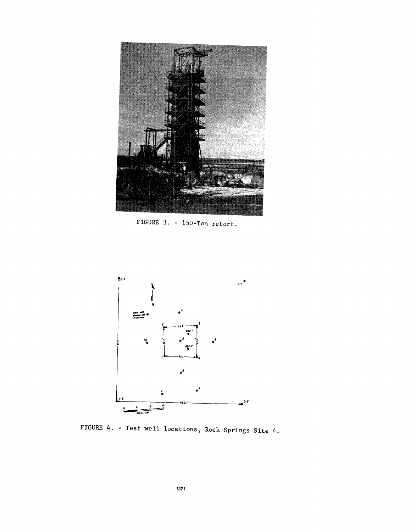

FIGURE 3.. - 150-Ton retort.



FIGURE 4. - Test well locations, Rock Springs Site 4,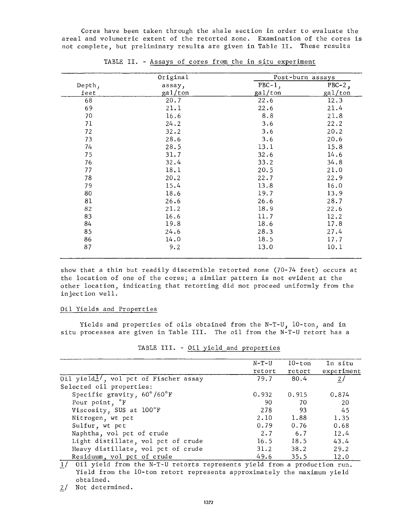Cores have been taken through the shale section in order to evaluate the areal and volumetric extent of the retorted zone. Examination of the cores is not complete, but preliminary results are given in Table II. These results

|        | Original | Post-burn assays |           |
|--------|----------|------------------|-----------|
| Depth, | assay,   | $PBC-1$ ,        | $PBC-2$ , |
| feet   | gal/ton  | gal/ton          | gal/ton   |
| 68     | 20.7     | 22.6             | 12.3      |
| 69     | 21.1     | 22.6             | 21.4      |
| 70     | 16.6     | 8.8              | 21.8      |
| 71     | 24.2     | 3.6              | 22.2      |
| 72     | 32.2     | 3.6              | 20.2      |
| 73     | 28.6     | 3.6              | 20.6      |
| 74     | 28.5     | 13.1             | 15.8      |
| 75     | 31.7     | 32.6             | 14.6      |
| 76     | 32.4     | 33.2             | 34.8      |
| 77     | 18.1     | 20.5             | 21.0      |
| 78     | 20.2     | 22.7             | 22.9      |
| 79     | 15.4     | 13.8             | 16.0      |
| 80     | 18.6     | 19.7             | 13.9      |
| 81     | 26.6     | 26.6             | 28.7      |
| 82     | 21.2     | 18.9             | 22.6      |
| 83     | 16.6     | 11.7             | 12.2      |
| 84     | 19.8     | 18.6             | 17.8      |
| 85     | 24.6     | 28.3             | 27.4      |
| 86     | 14.0     | 18.5             | 17.7      |
| 87     | 9.2      | 13.0             | 10.1      |

TABLE II. - Assays of cores from the in situ experiment

show that a thin but readily discernible retorted zone (70-74 feet) occurs at the location of one of the cores; a similar pattern is not evident at the other location, indicating that retorting did not proceed uniformly from the injection well.

# Oil Yields and Properties

Yields and properties of oils obtained from the N-T-U,  $10$ -ton, and in situ processes are given in Table III. The oil from the N-T-U retort has a

|                                                                                | $N-T-U$ | $10$ -ton | In situ       |
|--------------------------------------------------------------------------------|---------|-----------|---------------|
|                                                                                | retort  | retort    | experiment    |
| Oil yield $\frac{1}{2}$ , vol pct of Fischer assay                             | 79.7    | -80.4     | $\frac{2}{ }$ |
| Selected oil properties:                                                       |         |           |               |
| Specific gravity, $60^{\circ}/60^{\circ}$ F                                    | 0.932   | 0.915     | 0.874         |
| Pour point, <sup>o</sup> F                                                     | 90      | 70        | 20            |
| Viscosity, SUS at 100°F                                                        | 278     | 93        | 45            |
| Nitrogen, wt pct                                                               | 2.10    | 1.88      | 1.35          |
| Sulfur, wt pet                                                                 | 0.79    | 0.76      | 0.68          |
| Naphtha, vol pct of crude                                                      | 2.7     | 6.7       | 12.4          |
| Light distillate, vol pct of crude                                             | 16.5    | 18.5      | 43.4          |
| Heavy distillate, vol pct of crude                                             | 31.2    | 38.2      | 29.2          |
| Residuum, vol pct of crude                                                     | 49.6    | 35.5      | 12.0          |
| $1/011$ wield from the $N-T-II$ reterts represents wield from a production run |         |           |               |

TABLE III. - Oil yield and properties

\_1/ Oil yield from the N-T-U retorts represents yield from a production run. Yield from the 10-ton retort represents approximately the maximum yield obtained.

2/ Not determined.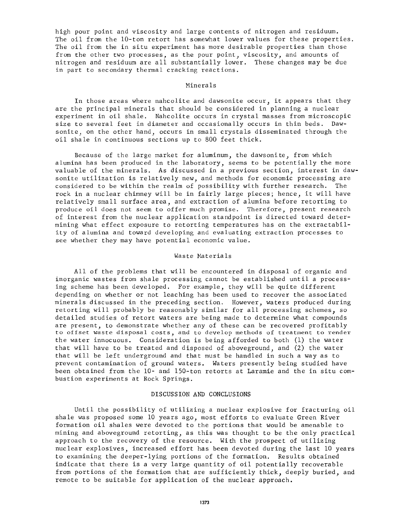high pour point and viscosity and large contents of nitrogen and residuum. The oil from the 10-ton retort has somewhat lower values for these properties. The oil from the in situ experiment has more desirable properties than those from the other two processes, as the pour point, viscosity, and amounts of nitrogen and residuum are all substantially lower. These changes may be due in part to secondary thermal cracking reactions.

### Minerals

In those areas where nahcolite and dawsonite occur, it appears that they are the principal minerals that should be considered in planning a nuclear experiment in oil shale. Nahcolite occurs in crystal masses from microscopic size to several feet in diameter and occasionally occurs in thin beds. Dawsonite, on the other hand, occurs in small crystals disseminated through the oil shale in continuous sections up to 800 feet thick.

Because of the large market for aluminum, the dawsonite, from which alumina has been produced in the laboratory, seems to be potentially the more valuable of the minerals. As discussed in a previous section, interest in dawsonite utilization is relatively new, and methods for economic processing are considered to be within the realm of possibility with further research. The rock in a nuclear chimney will be in fairly large pieces; hence, it will have relatively small surface area, and extraction of alumina before retorting to produce oil does not seem to offer much promise. Therefore, present research of interest from the nuclear application standpoint is directed toward determining what effect exposure to retorting temperatures has on the extractability of alumina and toward developing and evaluating extraction processes to see whether they may have potential economic value.

### Waste Materials

All of the problems that will be encountered in disposal of organic and inorganic wastes from shale processing cannot be established until a processing scheme has been developed. For example, they will be quite different depending on whether or not leaching has been used to recover the associated minerals discussed in the preceding section. However, waters produced during retorting will probably be reasonably similar for all processing schemes, so detailed studies of retort waters are being made to determine what compounds are present, to demonstrate whether any of these can be recovered profitably to offset waste disposal costs, and to develop methods of treatment to render the water innocuous. Consideration is being afforded to both (1) the water that will have to be treated and disposed of aboveground, and (2) the water that will be left underground and that must be handled in such a way as to prevent contamination of ground waters. Waters presently being studied have been obtained from the 10- and 150-ton retorts at Laramie and the in situ combustion experiments at Rock Springs.

### DISCUSSION AND CONCLUSIONS

Until the possibility of utilizing a nuclear explosive for fracturing oil shale was proposed some 10 years ago, most efforts to evaluate Green River formation oil shales were devoted to the portions that would be amenable to mining and aboveground retorting, as this was thought to be the only practical approach to the recovery of the resource. With the prospect of utilizing nuclear explosives, increased effort has been devoted during the last 10 years to examining the deeper-lying portions of the formation. Results obtained indicate that there is a very large quantity of oil potentially recoverable from portions of the formation that are sufficiently thick, deeply buried, and remote to be suitable for application of the nuclear approach.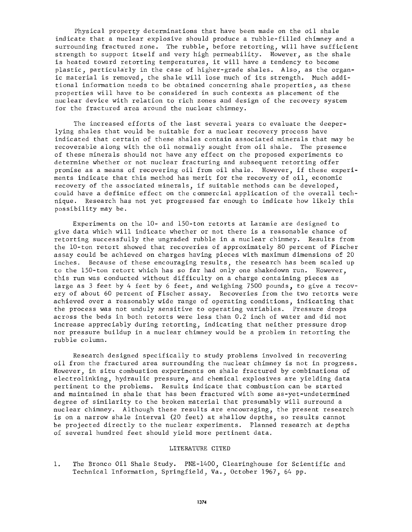Physical property determinations that have been made on the oil shale indicate that a nuclear explosive should produce a rubble-filled chimney and a surrounding fractured zone. The rubble, before retorting, will have sufficient strength to support itself and very high permeability. However, as the shale is heated toward retorting temperatures, it will have a tendency to become plastic, particularly in the case of higher-grade shales. Also, as the organic material is removed, the shale will lose much of its strength. Much additional information needs to be obtained concerning shale properties, as these properties will have to be considered in such contexts as placement of the nuclear device with relation to rich zones and design of the recovery system for the fractured area around the nuclear chimney.

The increased efforts of the last several years to evaluate the deeperlying shales that would be suitable for a nuclear recovery process have indicated that certain of these shales contain associated minerals that may be recoverable along with the oil normally sought from oil shale. The presence of these minerals should not have any effect on the proposed experiments to determine whether or not nuclear fracturing and subsequent retorting offer promise as a means of recovering oil from oil shale. However, if these experiments indicate that this method has merit for the recovery of oil, economic recovery of the associated minerals, if suitable methods can be developed, could have a definite effect on the commercial application of the overall technique. Research has not yet progressed far enough to indicate how likely this possibility may be.

Experiments on the 10- and 150-ton retorts at Laramie are designed to give data which will indicate whether or not there is a reasonable chance of retorting successfully the ungraded rubble in a nuclear chimney. Results from the 10-ton retort showed that recoveries of approximately 80 percent of Fischer assay could be achieved on charges having pieces with maximum dimensions of 20 inches. Because of these encouraging results, the research has been scaled up to the 150-ton retort which has so far had only one shakedown run. However, this run was conducted without difficulty on a charge containing pieces as large as 3 feet by 4 feet by 6 feet, and weighing 7500 pounds, to give a recovery of about 60 percent of Fischer assay. Recoveries from the two retorts were achieved over a reasonably wide range of operating conditions, indicating that the process was not unduly sensitive to operating variables. Pressure drops across the beds in both retorts were less than 0.2 inch of water and did not increase appreciably during retorting, indicating that neither pressure drop nor pressure buildup in a nuclear chimney would be a problem in retorting the rubble column.

Research designed specifically to study problems involved in recovering oil from the fractured area surrounding the nuclear chimney is not in progress. However, in situ combustion experiments on shale fractured by combinations of electrolinking, hydraulic pressure, and chemical explosives are yielding data pertinent to the problems. Results indicate that combustion can be started and maintained in shale that has been fractured with some as-yet-undetermined degree of similarity to the broken material that presumably will surround a nuclear chimney. Although these results are encouraging, the present research is on a narrow shale interval (20 feet) at shallow depths, so results cannot be projected directly to the nuclear experiments. Planned research at depths of several hundred feet should yield more pertinent data.

### LITERATURE CITED

1. The Bronco Oil Shale Study. PNE-1400, Clearinghouse for Scientific and Technical Information, Springfield, Va., October 1967, 64 pp.